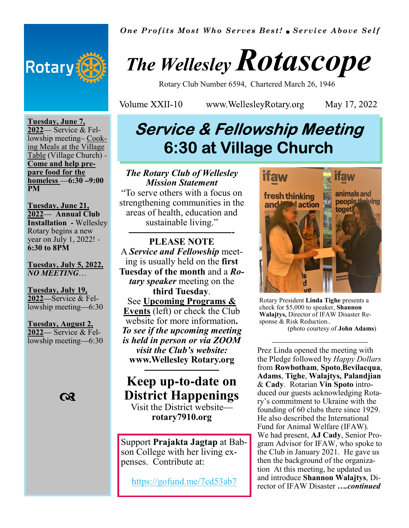

*One Profits Most Who Serves Best! Service Above Self*

# *The Wellesley Rotascope*

Rotary Club Number 6594, Chartered March 26, 1946

Volume XXII-10

www.WellesleyRotary.org

May 17, 2022

#### **Tuesday, June 7, 2022**— Service & Fellowship meeting– Cooking Meals at the Village Table (Village Church) - **Come and help prepare food for the homeless** —**6:30 –9:00 PM**

**Tuesday, June 21, 2022**— **Annual Club Installation -** Wellesley Rotary begins a new year on July 1, 2022! - **6:30 to 8PM**

#### **Tuesday, July 5, 2022,**  *NO MEETING*…

**Tuesday, July 19, 2022**—Service & Fellowship meeting—6:30

#### **Tuesday, August 2, 2022**— Service & Fellowship meeting—6:30



## **Service & Fellowship Meeting 6:30 at Village Church**

*The Rotary Club of Wellesley Mission Statement*  "To serve others with a focus on strengthening communities in the areas of health, education and sustainable living." **———————————-** 

**PLEASE NOTE** A *Service and Fellowship* meeting is usually held on the **first Tuesday of the month** and a *Rotary speaker* meeting on the **third Tuesday**. See **Upcoming Programs & Events** (left) or check the Club website for more information**.** *To see if the upcoming meeting is held in person or via ZOOM visit the Club's website:*  **www.Wellesley Rotary.org ————————** 

### **Keep up-to-date on District Happenings**

Visit the District website **rotary7910.org** 

Support **Prajakta Jagtap** at Babson College with her living expenses. Contribute at:

https://gofund.me/7cd53ab7



Rotary President **Linda Tighe** presents a check for \$5,000 to speaker, **Shannon Walajtys,** Director of IFAW Disaster Response & Risk Reduction..

————————————

(photo courtesy of **John Adams**)

Prez Linda opened the meeting with the Pledge followed by *Happy Dollars*  from **Rowbotham**, **Spoto**,**Bevilacqua**, **Adams**, **Tighe**, **Walajtys, Palandjian**  & **Cady**. Rotarian **Vin Spoto** introduced our guests acknowledging Rotary's commitment to Ukraine with the founding of 60 clubs there since 1929. He also described the International Fund for Animal Welfare (IFAW). We had present, **AJ Cady**, Senior Program Advisor for IFAW, who spoke to the Club in January 2021. He gave us then the background of the organization At this meeting, he updated us and introduce **Shannon Walajtys**, Director of IFAW Disaster *….continued*